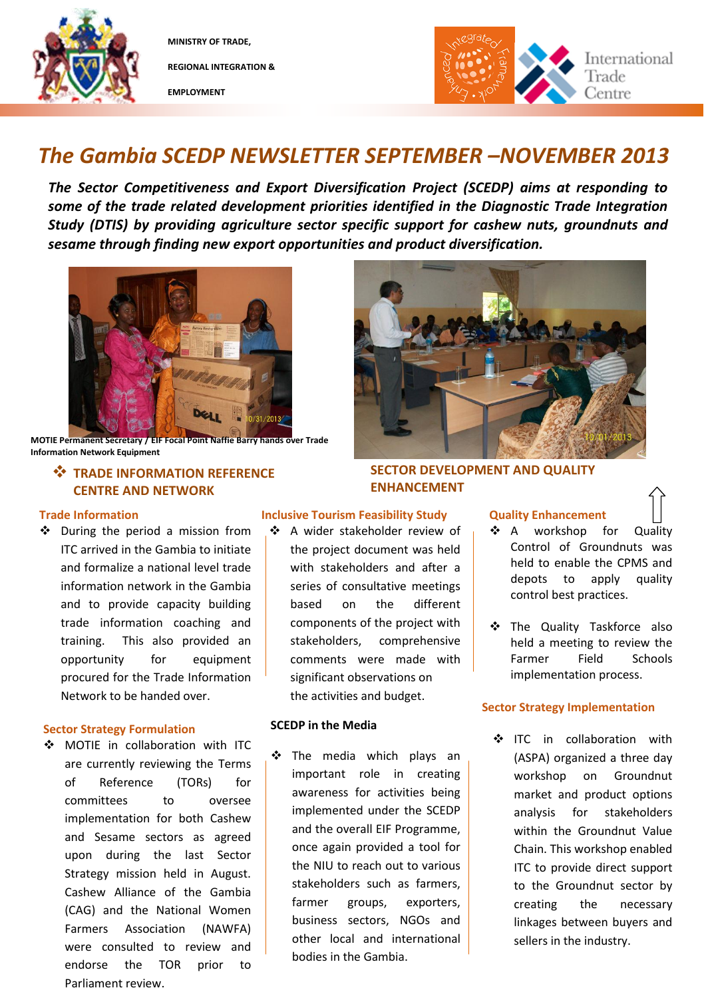

**MINISTRY OF TRADE, REGIONAL INTEGRATION &** 

**EMPLOYMENT**



### *The Gambia SCEDP NEWSLETTER SEPTEMBER –NOVEMBER 2013*

*The Sector Competitiveness and Export Diversification Project (SCEDP) aims at responding to some of the trade related development priorities identified in the Diagnostic Trade Integration Study (DTIS) by providing agriculture sector specific support for cashew nuts, groundnuts and sesame through finding new export opportunities and product diversification.* 



**MOTIE Permanent Secretary / EIF Focal Point Naffie Barry hands over Trade Information Network Equipment**

### **<sup>\*</sup>** TRADE INFORMATION REFERENCE **CENTRE AND NETWORK**

### **Trade Information**

 During the period a mission from ITC arrived in the Gambia to initiate and formalize a national level trade information network in the Gambia and to provide capacity building trade information coaching and training. This also provided an opportunity for equipment procured for the Trade Information Network to be handed over.

### **Sector Strategy Formulation**

 MOTIE in collaboration with ITC are currently reviewing the Terms of Reference (TORs) for committees to oversee implementation for both Cashew and Sesame sectors as agreed upon during the last Sector Strategy mission held in August. Cashew Alliance of the Gambia (CAG) and the National Women Farmers Association (NAWFA) were consulted to review and endorse the TOR prior to Parliament review.

# **SECTOR DEVELOPMENT AND QUALITY**

### **Inclusive Tourism Feasibility Study**

 A wider stakeholder review of the project document was held with stakeholders and after a series of consultative meetings based on the different components of the project with stakeholders, comprehensive comments were made with significant observations on the activities and budget.

### **SCEDP in the Media**

\* The media which plays an important role in creating awareness for activities being implemented under the SCEDP and the overall EIF Programme, once again provided a tool for the NIU to reach out to various stakeholders such as farmers, farmer groups, exporters, business sectors, NGOs and other local and international bodies in the Gambia.

## $ETR$  **FOR ANCEMENT**

### **Quality Enhancement**

- ❖ A workshop for Quality Control of Groundnuts was held to enable the CPMS and depots to apply quality control best practices.
- The Quality Taskforce also held a meeting to review the Farmer Field Schools implementation process.

### **Sector Strategy Implementation**

❖ ITC in collaboration with (ASPA) organized a three day workshop on Groundnut market and product options analysis for stakeholders within the Groundnut Value Chain. This workshop enabled ITC to provide direct support to the Groundnut sector by creating the necessary linkages between buyers and sellers in the industry.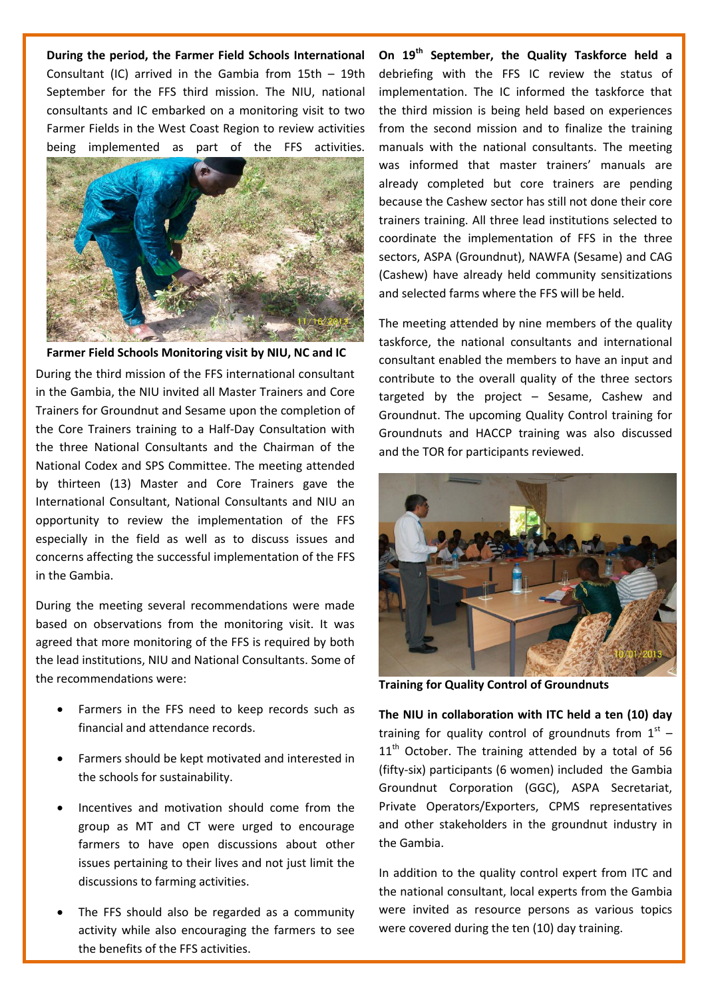**During the period, the Farmer Field Schools International** Consultant (IC) arrived in the Gambia from 15th – 19th September for the FFS third mission. The NIU, national consultants and IC embarked on a monitoring visit to two Farmer Fields in the West Coast Region to review activities being implemented as part of the FFS activities.



During the third mission of the FFS international consultant in the Gambia, the NIU invited all Master Trainers and Core Trainers for Groundnut and Sesame upon the completion of the Core Trainers training to a Half-Day Consultation with the three National Consultants and the Chairman of the National Codex and SPS Committee. The meeting attended by thirteen (13) Master and Core Trainers gave the International Consultant, National Consultants and NIU an opportunity to review the implementation of the FFS **NIU and FFS IC Field Visit to Farmer Fields** especially in the field as well as to discuss issues and concerns affecting the successful implementation of the FFS in the Gambia. **Farmer Field Schools Monitoring visit by NIU, NC and IC**

During the meeting several recommendations were made based on observations from the monitoring visit. It was agreed that more monitoring of the FFS is required by both the lead institutions, NIU and National Consultants. Some of the recommendations were:

- Farmers in the FFS need to keep records such as financial and attendance records.
- Farmers should be kept motivated and interested in the schools for sustainability.
- Incentives and motivation should come from the group as MT and CT were urged to encourage farmers to have open discussions about other issues pertaining to their lives and not just limit the discussions to farming activities.
- The FFS should also be regarded as a community activity while also encouraging the farmers to see the benefits of the FFS activities.

**On 19th September, the Quality Taskforce held a**  debriefing with the FFS IC review the status of implementation. The IC informed the taskforce that the third mission is being held based on experiences from the second mission and to finalize the training manuals with the national consultants. The meeting was informed that master trainers' manuals are already completed but core trainers are pending because the Cashew sector has still not done their core trainers training. All three lead institutions selected to coordinate the implementation of FFS in the three sectors, ASPA (Groundnut), NAWFA (Sesame) and CAG (Cashew) have already held community sensitizations and selected farms where the FFS will be held.

The meeting attended by nine members of the quality taskforce, the national consultants and international consultant enabled the members to have an input and contribute to the overall quality of the three sectors targeted by the project – Sesame, Cashew and Groundnut. The upcoming Quality Control training for Groundnuts and HACCP training was also discussed and the TOR for participants reviewed.



**Training for Quality Control of Groundnuts** 

**The NIU in collaboration with ITC held a ten (10) day** training for quality control of groundnuts from  $1^{st}$  - $11<sup>th</sup>$  October. The training attended by a total of 56 (fifty-six) participants (6 women) included the Gambia Groundnut Corporation (GGC), ASPA Secretariat, Private Operators/Exporters, CPMS representatives and other stakeholders in the groundnut industry in the Gambia.

In addition to the quality control expert from ITC and the national consultant, local experts from the Gambia were invited as resource persons as various topics were covered during the ten (10) day training.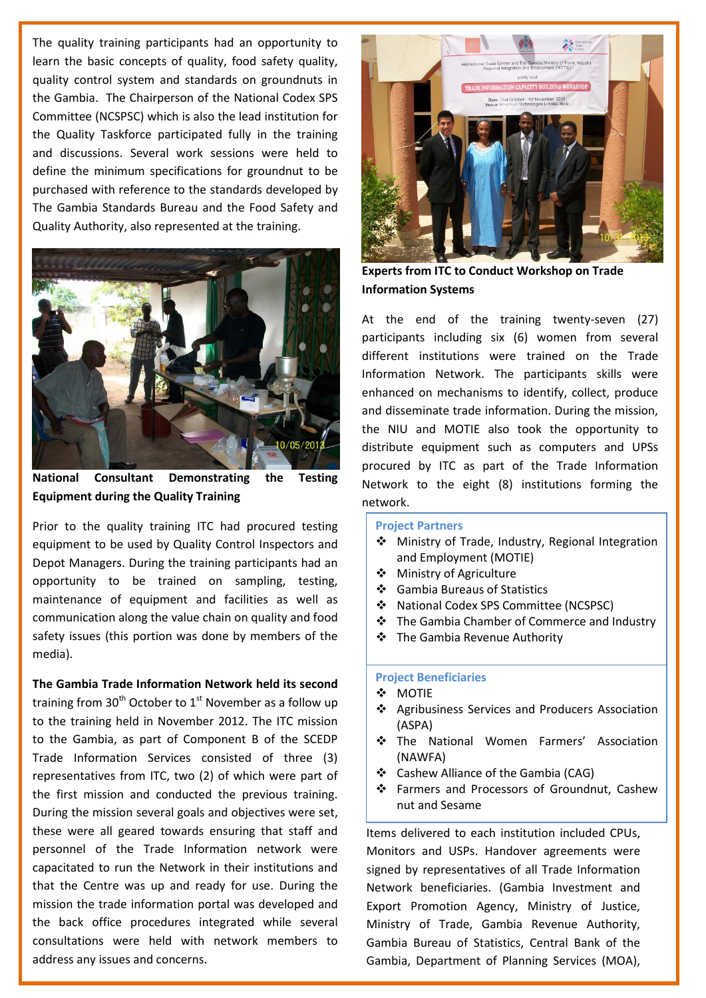The quality training participants had an opportunity to learn the basic concepts of quality, food safety quality, quality control system and standards on groundnuts in the Gambia. The Chairperson of the National Codex SPS Committee (NCSPSC) which is also the lead institution for the Quality Taskforce participated fully in the training and discussions. Several work sessions were held to define the minimum specifications for groundnut to be purchased with reference to the standards developed by The Gambia Standards Bureau and the Food Safety and Quality Authority, also represented at the training.



**National Consultant Demonstrating the Testing Equipment during the Quality Training**

Prior to the quality training ITC had procured testing equipment to be used by Quality Control Inspectors and Depot Managers. During the training participants had an opportunity to be trained on sampling, testing, maintenance of equipment and facilities as well as communication along the value chain on quality and food safety issues (this portion was done by members of the media).

**The Gambia Trade Information Network held its second**  training from  $30<sup>th</sup>$  October to  $1<sup>st</sup>$  November as a follow up to the training held in November 2012. The ITC mission to the Gambia, as part of Component B of the SCEDP Trade Information Services consisted of three (3) representatives from ITC, two (2) of which were part of the first mission and conducted the previous training. During the mission several goals and objectives were set, these were all geared towards ensuring that staff and personnel of the Trade Information network were capacitated to run the Network in their institutions and that the Centre was up and ready for use. During the mission the trade information portal was developed and the back office procedures integrated while several consultations were held with network members to address any issues and concerns.



**Experts from ITC to Conduct Workshop on Trade Information Systems** 

At the end of the training twenty-seven (27) participants including six (6) women from several different institutions were trained on the Trade Information Network. The participants skills were enhanced on mechanisms to identify, collect, produce and disseminate trade information. During the mission, the NIU and MOTIE also took the opportunity to distribute equipment such as computers and UPSs procured by ITC as part of the Trade Information Network to the eight (8) institutions forming the network.

#### **Project Partners**

- Ministry of Trade, Industry, Regional Integration and Employment (MOTIE)
- ❖ Ministry of Agriculture
- Gambia Bureaus of Statistics
- National Codex SPS Committee (NCSPSC)
- The Gambia Chamber of Commerce and Industry
- **❖** The Gambia Revenue Authority

#### **Project Beneficiaries**

- **❖ MOTIE**
- Agribusiness Services and Producers Association (ASPA)
- \* The National Women Farmers' Association (NAWFA)
- ❖ Cashew Alliance of the Gambia (CAG)
- Farmers and Processors of Groundnut, Cashew nut and Sesame

Items delivered to each institution included CPUs, Monitors and USPs. Handover agreements were signed by representatives of all Trade Information Network beneficiaries. (Gambia Investment and Export Promotion Agency, Ministry of Justice, Ministry of Trade, Gambia Revenue Authority, Gambia Bureau of Statistics, Central Bank of the Gambia, Department of Planning Services (MOA),

 $G$  is computed and  $G$  commerce and  $\mathcal{L}$  is computed and  $\mathcal{L}$